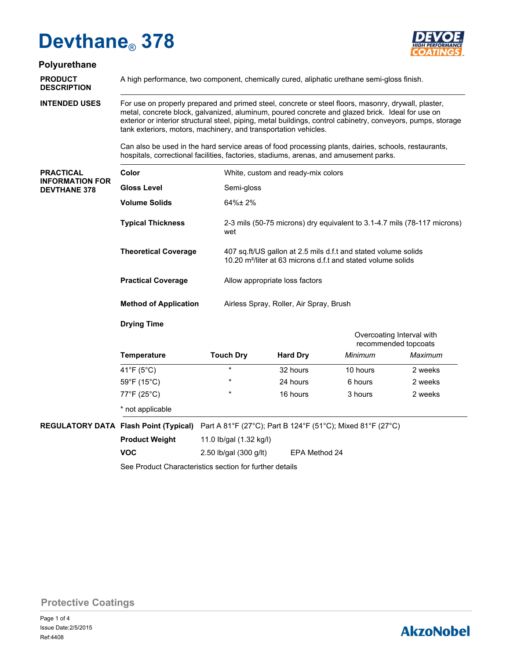

## **Polyurethane**

**DESCRIPTION**

**PRODUCT** A high performance, two component, chemically cured, aliphatic urethane semi-gloss finish.

**INTENDED USES**

For use on properly prepared and primed steel, concrete or steel floors, masonry, drywall, plaster, metal, concrete block, galvanized, aluminum, poured concrete and glazed brick. Ideal for use on exterior or interior structural steel, piping, metal buildings, control cabinetry, conveyors, pumps, storage tank exteriors, motors, machinery, and transportation vehicles.

Can also be used in the hard service areas of food processing plants, dairies, schools, restaurants, hospitals, correctional facilities, factories, stadiums, arenas, and amusement parks.

| <b>PRACTICAL</b><br><b>INFORMATION FOR</b><br><b>DEVTHANE 378</b> | Color                        | White, custom and ready-mix colors                                                                                                         |
|-------------------------------------------------------------------|------------------------------|--------------------------------------------------------------------------------------------------------------------------------------------|
|                                                                   | <b>Gloss Level</b>           | Semi-gloss                                                                                                                                 |
|                                                                   | <b>Volume Solids</b>         | $64\% \pm 2\%$                                                                                                                             |
|                                                                   | <b>Typical Thickness</b>     | 2-3 mils (50-75 microns) dry equivalent to 3.1-4.7 mils (78-117 microns)<br>wet                                                            |
|                                                                   | <b>Theoretical Coverage</b>  | 407 sq.ft/US gallon at 2.5 mils d.f.t and stated volume solids<br>10.20 m <sup>2</sup> /liter at 63 microns d.f.t and stated volume solids |
|                                                                   | <b>Practical Coverage</b>    | Allow appropriate loss factors                                                                                                             |
|                                                                   | <b>Method of Application</b> | Airless Spray, Roller, Air Spray, Brush                                                                                                    |

### **Drying Time**

**VOC**

|                                  |                  |                 | Overcoating Interval with<br>recommended topcoats |         |  |
|----------------------------------|------------------|-----------------|---------------------------------------------------|---------|--|
| <b>Temperature</b>               | <b>Touch Dry</b> | <b>Hard Dry</b> | Minimum                                           | Maximum |  |
| 41°F (5°C)                       | $\star$          | 32 hours        | 10 hours                                          | 2 weeks |  |
| 59°F (15°C)                      | $\star$          | 24 hours        | 6 hours                                           | 2 weeks |  |
| $77^{\circ}$ F (25 $^{\circ}$ C) | $\star$          | 16 hours        | 3 hours                                           | 2 weeks |  |
| * not applicable                 |                  |                 |                                                   |         |  |

**REGULATORY DATA Flash Point (Typical)** Part A 81°F (27°C); Part B 124°F (51°C); Mixed 81°F (27°C)

| <b>Product Weight</b> | 11.0 lb/gal (1.32 kg/l) |
|-----------------------|-------------------------|
|-----------------------|-------------------------|

2.50 lb/gal (300 g/lt) EPA Method 24

See Product Characteristics section for further details

**Protective Coatings**

## **AkzoNobel**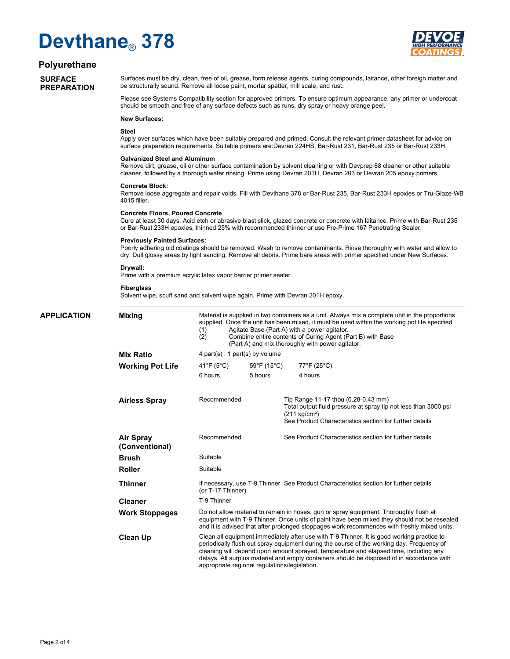

### **Polyurethane**

### **SURFACE PREPARATION**

Surfaces must be dry, clean, free of oil, grease, form release agents, curing compounds, laitance, other foreign matter and be structurally sound. Remove all loose paint, mortar spatter, mill scale, and rust.

Please see Systems Compatibility section for approved primers. To ensure optimum appearance, any primer or undercoat should be smooth and free of any surface defects such as runs, dry spray or heavy orange peel.

#### **New Surfaces:**

#### **Steel**

Apply over surfaces which have been suitably prepared and primed. Consult the relevant primer datasheet for advice on surface preparation requirements. Suitable primers are:Devran 224HS, Bar-Rust 231, Bar-Rust 235 or Bar-Rust 233H.

#### **Galvanized Steel and Aluminum**

Remove dirt, grease, oil or other surface contamination by solvent cleaning or with Devprep 88 cleaner or other suitable cleaner, followed by a thorough water rinsing. Prime using Devran 201H, Devran 203 or Devran 205 epoxy primers.

#### **Concrete Block:**

Remove loose aggregate and repair voids. Fill with Devthane 378 or Bar-Rust 235, Bar-Rust 233H epoxies or Tru-Glaze-WB 4015 filler.

#### **Concrete Floors, Poured Concrete**

Cure at least 30 days. Acid etch or abrasive blast slick, glazed concrete or concrete with laitance. Prime with Bar-Rust 235 or Bar-Rust 233H epoxies, thinned 25% with recommended thinner or use Pre-Prime 167 Penetrating Sealer.

#### **Previously Painted Surfaces:**

Poorly adhering old coatings should be removed. Wash to remove contaminants. Rinse thoroughly with water and allow to dry. Dull glossy areas by light sanding. Remove all debris. Prime bare areas with primer specified under New Surfaces.

#### **Drywall:**

Prime with a premium acrylic latex vapor barrier primer sealer.

#### **Fiberglass**

Solvent wipe, scuff sand and solvent wipe again. Prime with Devran 201H epoxy.

| <b>APPLICATION</b> | <b>Mixing</b>               | Material is supplied in two containers as a unit. Always mix a complete unit in the proportions<br>supplied. Once the unit has been mixed, it must be used within the working pot life specified.<br>Agitate Base (Part A) with a power agitator.<br>(1)<br>(2)<br>Combine entire contents of Curing Agent (Part B) with Base<br>(Part A) and mix thoroughly with power agitator.                                               |             |                                                                                                                                                                                              |  |  |
|--------------------|-----------------------------|---------------------------------------------------------------------------------------------------------------------------------------------------------------------------------------------------------------------------------------------------------------------------------------------------------------------------------------------------------------------------------------------------------------------------------|-------------|----------------------------------------------------------------------------------------------------------------------------------------------------------------------------------------------|--|--|
|                    | <b>Mix Ratio</b>            | 4 part(s) : 1 part(s) by volume                                                                                                                                                                                                                                                                                                                                                                                                 |             |                                                                                                                                                                                              |  |  |
|                    | <b>Working Pot Life</b>     | 41°F (5°C)                                                                                                                                                                                                                                                                                                                                                                                                                      | 59°F (15°C) | 77°F (25°C)                                                                                                                                                                                  |  |  |
|                    |                             | 6 hours                                                                                                                                                                                                                                                                                                                                                                                                                         | 5 hours     | 4 hours                                                                                                                                                                                      |  |  |
|                    | <b>Airless Spray</b>        | Recommended                                                                                                                                                                                                                                                                                                                                                                                                                     |             | Tip Range 11-17 thou (0.28-0.43 mm)<br>Total output fluid pressure at spray tip not less than 3000 psi<br>$(211 \text{ kg/cm}^2)$<br>See Product Characteristics section for further details |  |  |
|                    | Air Spray<br>(Conventional) | Recommended                                                                                                                                                                                                                                                                                                                                                                                                                     |             | See Product Characteristics section for further details                                                                                                                                      |  |  |
|                    | <b>Brush</b>                | Suitable                                                                                                                                                                                                                                                                                                                                                                                                                        |             |                                                                                                                                                                                              |  |  |
|                    | <b>Roller</b>               | Suitable                                                                                                                                                                                                                                                                                                                                                                                                                        |             |                                                                                                                                                                                              |  |  |
|                    | <b>Thinner</b>              | (or T-17 Thinner)                                                                                                                                                                                                                                                                                                                                                                                                               |             | If necessary, use T-9 Thinner See Product Characteristics section for further details                                                                                                        |  |  |
|                    | <b>Cleaner</b>              | T-9 Thinner                                                                                                                                                                                                                                                                                                                                                                                                                     |             |                                                                                                                                                                                              |  |  |
|                    | <b>Work Stoppages</b>       | Do not allow material to remain in hoses, gun or spray equipment. Thoroughly flush all<br>equipment with T-9 Thinner. Once units of paint have been mixed they should not be resealed<br>and it is advised that after prolonged stoppages work recommences with freshly mixed units.                                                                                                                                            |             |                                                                                                                                                                                              |  |  |
|                    | <b>Clean Up</b>             | Clean all equipment immediately after use with T-9 Thinner. It is good working practice to<br>periodically flush out spray equipment during the course of the working day. Frequency of<br>cleaning will depend upon amount sprayed, temperature and elapsed time, including any<br>delays. All surplus material and empty containers should be disposed of in accordance with<br>appropriate regional regulations/legislation. |             |                                                                                                                                                                                              |  |  |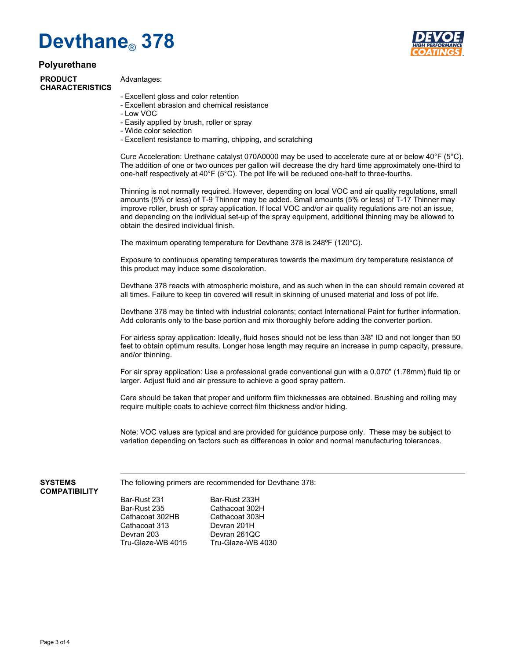## **Polyurethane**

**PRODUCT CHARACTERISTICS**

## Advantages:

- Excellent gloss and color retention
- Excellent abrasion and chemical resistance
- Low VOC
- Easily applied by brush, roller or spray
- Wide color selection
- Excellent resistance to marring, chipping, and scratching

Cure Acceleration: Urethane catalyst 070A0000 may be used to accelerate cure at or below 40°F (5°C). The addition of one or two ounces per gallon will decrease the dry hard time approximately one-third to one-half respectively at 40°F (5°C). The pot life will be reduced one-half to three-fourths.

Thinning is not normally required. However, depending on local VOC and air quality regulations, small amounts (5% or less) of T-9 Thinner may be added. Small amounts (5% or less) of T-17 Thinner may improve roller, brush or spray application. If local VOC and/or air quality regulations are not an issue, and depending on the individual set-up of the spray equipment, additional thinning may be allowed to obtain the desired individual finish.

The maximum operating temperature for Devthane 378 is 248ºF (120°C).

Exposure to continuous operating temperatures towards the maximum dry temperature resistance of this product may induce some discoloration.

Devthane 378 reacts with atmospheric moisture, and as such when in the can should remain covered at all times. Failure to keep tin covered will result in skinning of unused material and loss of pot life.

Devthane 378 may be tinted with industrial colorants; contact International Paint for further information. Add colorants only to the base portion and mix thoroughly before adding the converter portion.

For airless spray application: Ideally, fluid hoses should not be less than 3/8" ID and not longer than 50 feet to obtain optimum results. Longer hose length may require an increase in pump capacity, pressure, and/or thinning.

For air spray application: Use a professional grade conventional gun with a 0.070" (1.78mm) fluid tip or larger. Adjust fluid and air pressure to achieve a good spray pattern.

Care should be taken that proper and uniform film thicknesses are obtained. Brushing and rolling may require multiple coats to achieve correct film thickness and/or hiding.

Note: VOC values are typical and are provided for guidance purpose only. These may be subject to variation depending on factors such as differences in color and normal manufacturing tolerances.

#### **SYSTEMS COMPATIBILITY**

The following primers are recommended for Devthane 378:

Bar-Rust 231 Bar-Rust 233H Cathacoat 302HB Cathacoat 30<br>Cathacoat 313 Devran 201H Cathacoat 313<br>Devran 203 Devran 203 Devran 261QC

Cathacoat 302H<br>Cathacoat 303H Tru-Glaze-WB 4030